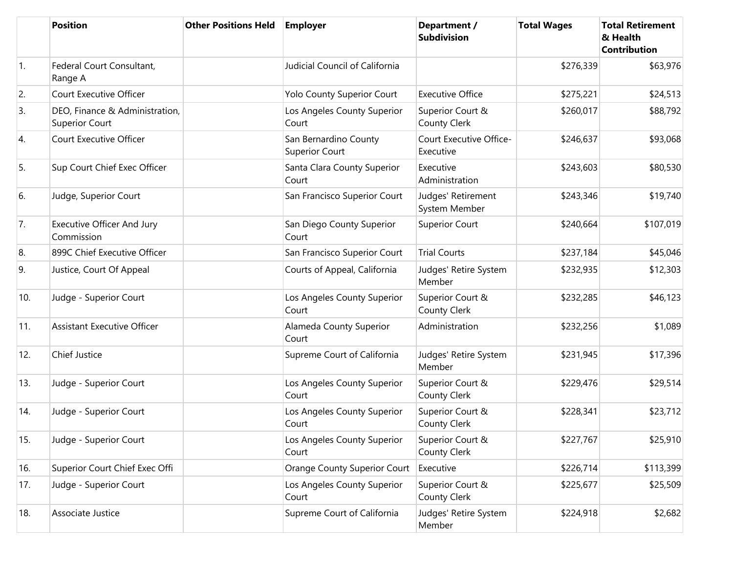|                  | <b>Position</b>                                         | <b>Other Positions Held</b> | <b>Employer</b>                                | Department /<br><b>Subdivision</b>      | <b>Total Wages</b> | <b>Total Retirement</b><br>& Health<br><b>Contribution</b> |
|------------------|---------------------------------------------------------|-----------------------------|------------------------------------------------|-----------------------------------------|--------------------|------------------------------------------------------------|
| $\overline{1}$ . | Federal Court Consultant,<br>Range A                    |                             | Judicial Council of California                 |                                         | \$276,339          | \$63,976                                                   |
| 2.               | Court Executive Officer                                 |                             | Yolo County Superior Court                     | <b>Executive Office</b>                 | \$275,221          | \$24,513                                                   |
| 3.               | DEO, Finance & Administration,<br><b>Superior Court</b> |                             | Los Angeles County Superior<br>Court           | Superior Court &<br>County Clerk        | \$260,017          | \$88,792                                                   |
| 4.               | Court Executive Officer                                 |                             | San Bernardino County<br><b>Superior Court</b> | Court Executive Office-<br>Executive    | \$246,637          | \$93,068                                                   |
| 5.               | Sup Court Chief Exec Officer                            |                             | Santa Clara County Superior<br>Court           | Executive<br>Administration             | \$243,603          | \$80,530                                                   |
| 6.               | Judge, Superior Court                                   |                             | San Francisco Superior Court                   | Judges' Retirement<br>System Member     | \$243,346          | \$19,740                                                   |
| 7.               | <b>Executive Officer And Jury</b><br>Commission         |                             | San Diego County Superior<br>Court             | Superior Court                          | \$240,664          | \$107,019                                                  |
| 8.               | 899C Chief Executive Officer                            |                             | San Francisco Superior Court                   | <b>Trial Courts</b>                     | \$237,184          | \$45,046                                                   |
| 9.               | Justice, Court Of Appeal                                |                             | Courts of Appeal, California                   | Judges' Retire System<br>Member         | \$232,935          | \$12,303                                                   |
| 10.              | Judge - Superior Court                                  |                             | Los Angeles County Superior<br>Court           | Superior Court &<br>County Clerk        | \$232,285          | \$46,123                                                   |
| 11.              | <b>Assistant Executive Officer</b>                      |                             | Alameda County Superior<br>Court               | Administration                          | \$232,256          | \$1,089                                                    |
| 12.              | Chief Justice                                           |                             | Supreme Court of California                    | Judges' Retire System<br>Member         | \$231,945          | \$17,396                                                   |
| 13.              | Judge - Superior Court                                  |                             | Los Angeles County Superior<br>Court           | Superior Court &<br>County Clerk        | \$229,476          | \$29,514                                                   |
| 14.              | Judge - Superior Court                                  |                             | Los Angeles County Superior<br>Court           | Superior Court &<br>County Clerk        | \$228,341          | \$23,712                                                   |
| 15.              | Judge - Superior Court                                  |                             | Los Angeles County Superior<br>Court           | Superior Court &<br><b>County Clerk</b> | \$227,767          | \$25,910                                                   |
| 16.              | Superior Court Chief Exec Offi                          |                             | Orange County Superior Court                   | Executive                               | \$226,714          | \$113,399                                                  |
| 17.              | Judge - Superior Court                                  |                             | Los Angeles County Superior<br>Court           | Superior Court &<br>County Clerk        | \$225,677          | \$25,509                                                   |
| 18.              | Associate Justice                                       |                             | Supreme Court of California                    | Judges' Retire System<br>Member         | \$224,918          | \$2,682                                                    |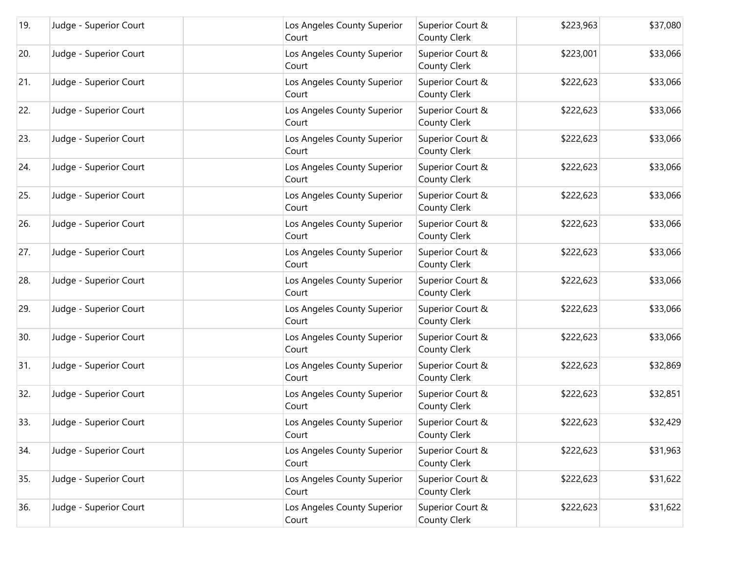| 19. | Judge - Superior Court | Los Angeles County Superior<br>Court | Superior Court &<br><b>County Clerk</b> | \$223,963 | \$37,080 |
|-----|------------------------|--------------------------------------|-----------------------------------------|-----------|----------|
| 20. | Judge - Superior Court | Los Angeles County Superior<br>Court | Superior Court &<br><b>County Clerk</b> | \$223,001 | \$33,066 |
| 21. | Judge - Superior Court | Los Angeles County Superior<br>Court | Superior Court &<br><b>County Clerk</b> | \$222,623 | \$33,066 |
| 22. | Judge - Superior Court | Los Angeles County Superior<br>Court | Superior Court &<br><b>County Clerk</b> | \$222,623 | \$33,066 |
| 23. | Judge - Superior Court | Los Angeles County Superior<br>Court | Superior Court &<br><b>County Clerk</b> | \$222,623 | \$33,066 |
| 24. | Judge - Superior Court | Los Angeles County Superior<br>Court | Superior Court &<br><b>County Clerk</b> | \$222,623 | \$33,066 |
| 25. | Judge - Superior Court | Los Angeles County Superior<br>Court | Superior Court &<br><b>County Clerk</b> | \$222,623 | \$33,066 |
| 26. | Judge - Superior Court | Los Angeles County Superior<br>Court | Superior Court &<br><b>County Clerk</b> | \$222,623 | \$33,066 |
| 27. | Judge - Superior Court | Los Angeles County Superior<br>Court | Superior Court &<br><b>County Clerk</b> | \$222,623 | \$33,066 |
| 28. | Judge - Superior Court | Los Angeles County Superior<br>Court | Superior Court &<br><b>County Clerk</b> | \$222,623 | \$33,066 |
| 29. | Judge - Superior Court | Los Angeles County Superior<br>Court | Superior Court &<br><b>County Clerk</b> | \$222,623 | \$33,066 |
| 30. | Judge - Superior Court | Los Angeles County Superior<br>Court | Superior Court &<br><b>County Clerk</b> | \$222,623 | \$33,066 |
| 31. | Judge - Superior Court | Los Angeles County Superior<br>Court | Superior Court &<br><b>County Clerk</b> | \$222,623 | \$32,869 |
| 32. | Judge - Superior Court | Los Angeles County Superior<br>Court | Superior Court &<br><b>County Clerk</b> | \$222,623 | \$32,851 |
| 33. | Judge - Superior Court | Los Angeles County Superior<br>Court | Superior Court &<br>County Clerk        | \$222,623 | \$32,429 |
| 34. | Judge - Superior Court | Los Angeles County Superior<br>Court | Superior Court &<br><b>County Clerk</b> | \$222,623 | \$31,963 |
| 35. | Judge - Superior Court | Los Angeles County Superior<br>Court | Superior Court &<br><b>County Clerk</b> | \$222,623 | \$31,622 |
| 36. | Judge - Superior Court | Los Angeles County Superior<br>Court | Superior Court &<br><b>County Clerk</b> | \$222,623 | \$31,622 |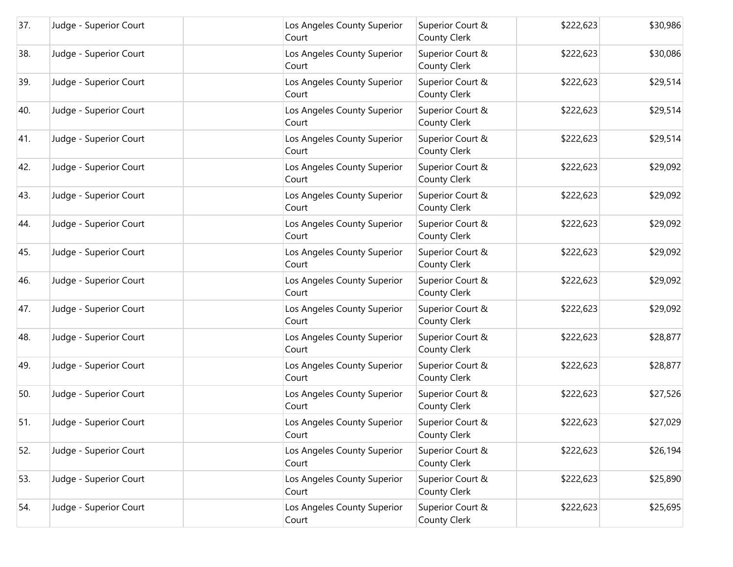| 37. | Judge - Superior Court | Los Angeles County Superior<br>Court | Superior Court &<br><b>County Clerk</b> | \$222,623 | \$30,986 |
|-----|------------------------|--------------------------------------|-----------------------------------------|-----------|----------|
| 38. | Judge - Superior Court | Los Angeles County Superior<br>Court | Superior Court &<br><b>County Clerk</b> | \$222,623 | \$30,086 |
| 39. | Judge - Superior Court | Los Angeles County Superior<br>Court | Superior Court &<br><b>County Clerk</b> | \$222,623 | \$29,514 |
| 40. | Judge - Superior Court | Los Angeles County Superior<br>Court | Superior Court &<br><b>County Clerk</b> | \$222,623 | \$29,514 |
| 41. | Judge - Superior Court | Los Angeles County Superior<br>Court | Superior Court &<br><b>County Clerk</b> | \$222,623 | \$29,514 |
| 42. | Judge - Superior Court | Los Angeles County Superior<br>Court | Superior Court &<br><b>County Clerk</b> | \$222,623 | \$29,092 |
| 43. | Judge - Superior Court | Los Angeles County Superior<br>Court | Superior Court &<br><b>County Clerk</b> | \$222,623 | \$29,092 |
| 44. | Judge - Superior Court | Los Angeles County Superior<br>Court | Superior Court &<br><b>County Clerk</b> | \$222,623 | \$29,092 |
| 45. | Judge - Superior Court | Los Angeles County Superior<br>Court | Superior Court &<br><b>County Clerk</b> | \$222,623 | \$29,092 |
| 46. | Judge - Superior Court | Los Angeles County Superior<br>Court | Superior Court &<br><b>County Clerk</b> | \$222,623 | \$29,092 |
| 47. | Judge - Superior Court | Los Angeles County Superior<br>Court | Superior Court &<br><b>County Clerk</b> | \$222,623 | \$29,092 |
| 48. | Judge - Superior Court | Los Angeles County Superior<br>Court | Superior Court &<br><b>County Clerk</b> | \$222,623 | \$28,877 |
| 49. | Judge - Superior Court | Los Angeles County Superior<br>Court | Superior Court &<br><b>County Clerk</b> | \$222,623 | \$28,877 |
| 50. | Judge - Superior Court | Los Angeles County Superior<br>Court | Superior Court &<br><b>County Clerk</b> | \$222,623 | \$27,526 |
| 51. | Judge - Superior Court | Los Angeles County Superior<br>Court | Superior Court &<br><b>County Clerk</b> | \$222,623 | \$27,029 |
| 52. | Judge - Superior Court | Los Angeles County Superior<br>Court | Superior Court &<br><b>County Clerk</b> | \$222,623 | \$26,194 |
| 53. | Judge - Superior Court | Los Angeles County Superior<br>Court | Superior Court &<br><b>County Clerk</b> | \$222,623 | \$25,890 |
| 54. | Judge - Superior Court | Los Angeles County Superior<br>Court | Superior Court &<br><b>County Clerk</b> | \$222,623 | \$25,695 |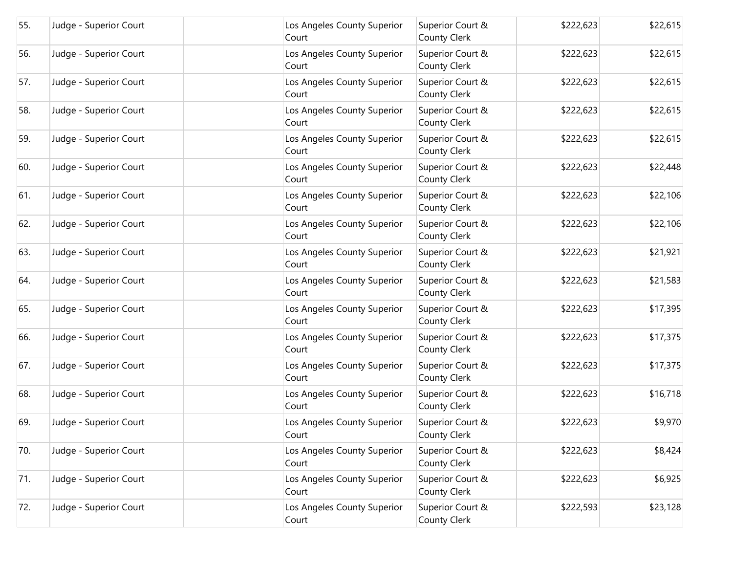| 55. | Judge - Superior Court | Los Angeles County Superior<br>Court | Superior Court &<br><b>County Clerk</b> | \$222,623 | \$22,615 |
|-----|------------------------|--------------------------------------|-----------------------------------------|-----------|----------|
| 56. | Judge - Superior Court | Los Angeles County Superior<br>Court | Superior Court &<br><b>County Clerk</b> | \$222,623 | \$22,615 |
| 57. | Judge - Superior Court | Los Angeles County Superior<br>Court | Superior Court &<br><b>County Clerk</b> | \$222,623 | \$22,615 |
| 58. | Judge - Superior Court | Los Angeles County Superior<br>Court | Superior Court &<br><b>County Clerk</b> | \$222,623 | \$22,615 |
| 59. | Judge - Superior Court | Los Angeles County Superior<br>Court | Superior Court &<br><b>County Clerk</b> | \$222,623 | \$22,615 |
| 60. | Judge - Superior Court | Los Angeles County Superior<br>Court | Superior Court &<br><b>County Clerk</b> | \$222,623 | \$22,448 |
| 61. | Judge - Superior Court | Los Angeles County Superior<br>Court | Superior Court &<br><b>County Clerk</b> | \$222,623 | \$22,106 |
| 62. | Judge - Superior Court | Los Angeles County Superior<br>Court | Superior Court &<br><b>County Clerk</b> | \$222,623 | \$22,106 |
| 63. | Judge - Superior Court | Los Angeles County Superior<br>Court | Superior Court &<br><b>County Clerk</b> | \$222,623 | \$21,921 |
| 64. | Judge - Superior Court | Los Angeles County Superior<br>Court | Superior Court &<br><b>County Clerk</b> | \$222,623 | \$21,583 |
| 65. | Judge - Superior Court | Los Angeles County Superior<br>Court | Superior Court &<br><b>County Clerk</b> | \$222,623 | \$17,395 |
| 66. | Judge - Superior Court | Los Angeles County Superior<br>Court | Superior Court &<br><b>County Clerk</b> | \$222,623 | \$17,375 |
| 67. | Judge - Superior Court | Los Angeles County Superior<br>Court | Superior Court &<br><b>County Clerk</b> | \$222,623 | \$17,375 |
| 68. | Judge - Superior Court | Los Angeles County Superior<br>Court | Superior Court &<br><b>County Clerk</b> | \$222,623 | \$16,718 |
| 69. | Judge - Superior Court | Los Angeles County Superior<br>Court | Superior Court &<br><b>County Clerk</b> | \$222,623 | \$9,970  |
| 70. | Judge - Superior Court | Los Angeles County Superior<br>Court | Superior Court &<br><b>County Clerk</b> | \$222,623 | \$8,424  |
| 71. | Judge - Superior Court | Los Angeles County Superior<br>Court | Superior Court &<br><b>County Clerk</b> | \$222,623 | \$6,925  |
| 72. | Judge - Superior Court | Los Angeles County Superior<br>Court | Superior Court &<br><b>County Clerk</b> | \$222,593 | \$23,128 |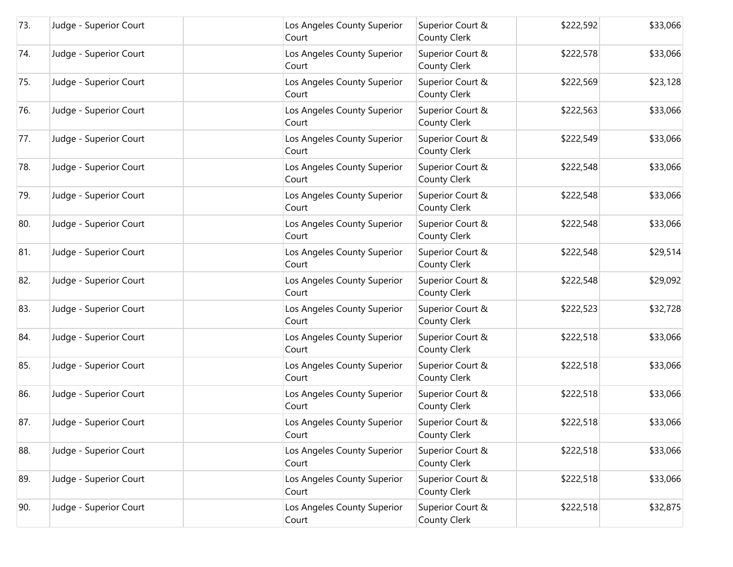| 73. | Judge - Superior Court | Los Angeles County Superior<br>Court | Superior Court &<br><b>County Clerk</b> | \$222,592 | \$33,066 |
|-----|------------------------|--------------------------------------|-----------------------------------------|-----------|----------|
| 74. | Judge - Superior Court | Los Angeles County Superior<br>Court | Superior Court &<br><b>County Clerk</b> | \$222,578 | \$33,066 |
| 75. | Judge - Superior Court | Los Angeles County Superior<br>Court | Superior Court &<br><b>County Clerk</b> | \$222,569 | \$23,128 |
| 76. | Judge - Superior Court | Los Angeles County Superior<br>Court | Superior Court &<br><b>County Clerk</b> | \$222,563 | \$33,066 |
| 77. | Judge - Superior Court | Los Angeles County Superior<br>Court | Superior Court &<br><b>County Clerk</b> | \$222,549 | \$33,066 |
| 78. | Judge - Superior Court | Los Angeles County Superior<br>Court | Superior Court &<br><b>County Clerk</b> | \$222,548 | \$33,066 |
| 79. | Judge - Superior Court | Los Angeles County Superior<br>Court | Superior Court &<br><b>County Clerk</b> | \$222,548 | \$33,066 |
| 80. | Judge - Superior Court | Los Angeles County Superior<br>Court | Superior Court &<br><b>County Clerk</b> | \$222,548 | \$33,066 |
| 81. | Judge - Superior Court | Los Angeles County Superior<br>Court | Superior Court &<br><b>County Clerk</b> | \$222,548 | \$29,514 |
| 82. | Judge - Superior Court | Los Angeles County Superior<br>Court | Superior Court &<br><b>County Clerk</b> | \$222,548 | \$29,092 |
| 83. | Judge - Superior Court | Los Angeles County Superior<br>Court | Superior Court &<br><b>County Clerk</b> | \$222,523 | \$32,728 |
| 84. | Judge - Superior Court | Los Angeles County Superior<br>Court | Superior Court &<br><b>County Clerk</b> | \$222,518 | \$33,066 |
| 85. | Judge - Superior Court | Los Angeles County Superior<br>Court | Superior Court &<br><b>County Clerk</b> | \$222,518 | \$33,066 |
| 86. | Judge - Superior Court | Los Angeles County Superior<br>Court | Superior Court &<br><b>County Clerk</b> | \$222,518 | \$33,066 |
| 87. | Judge - Superior Court | Los Angeles County Superior<br>Court | Superior Court &<br><b>County Clerk</b> | \$222,518 | \$33,066 |
| 88. | Judge - Superior Court | Los Angeles County Superior<br>Court | Superior Court &<br><b>County Clerk</b> | \$222,518 | \$33,066 |
| 89. | Judge - Superior Court | Los Angeles County Superior<br>Court | Superior Court &<br><b>County Clerk</b> | \$222,518 | \$33,066 |
| 90. | Judge - Superior Court | Los Angeles County Superior<br>Court | Superior Court &<br><b>County Clerk</b> | \$222,518 | \$32,875 |